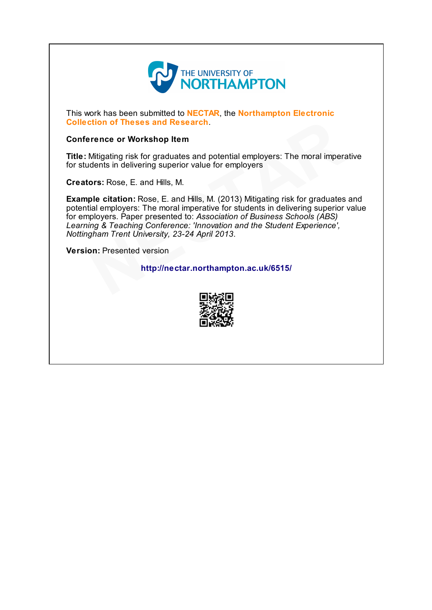

This work has been submitted to **NECTAR**, the **Northampton Electronic** Collection of Theses and Research.

#### Conference or Workshop Item

Title: Mitigating risk for graduates and potential employers: The moral imperative for students in delivering superior value for employers

Creators: Rose, E. and Hills, M.

Example citation: Rose, E. and Hills, M. (2013) Mitigating risk for graduates and potential employers: The moral imperative for students in delivering superior value for employers. Paper presented to: Association of Business Schools (ABS) Learning & Teaching Conference: 'Innovation and the Student Experience', Nottingham Trent University, 23-24 April 2013. **Example 15 Theses and Research.**<br>
Interinsion of Theses and Research.<br>
Mitigating risk for graduates and potential employers: The moral imperadents in delivering superior value for employers<br> **ors:** Rose, E. and Hills, M.

Version: Presented version

### http://nectar.northampton.ac.uk/6515/

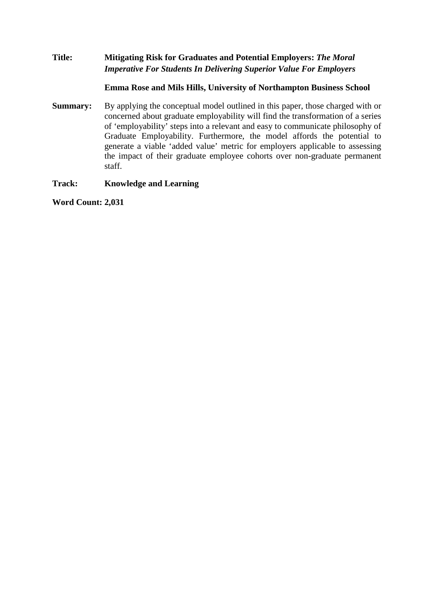# **Title: Mitigating Risk for Graduates and Potential Employers:** *The Moral Imperative For Students In Delivering Superior Value For Employers*

### **Emma Rose and Mils Hills, University of Northampton Business School**

**Summary:** By applying the conceptual model outlined in this paper, those charged with or concerned about graduate employability will find the transformation of a series of 'employability' steps into a relevant and easy to communicate philosophy of Graduate Employability. Furthermore, the model affords the potential to generate a viable 'added value' metric for employers applicable to assessing the impact of their graduate employee cohorts over non-graduate permanent staff.

**Track: Knowledge and Learning**

**Word Count: 2,031**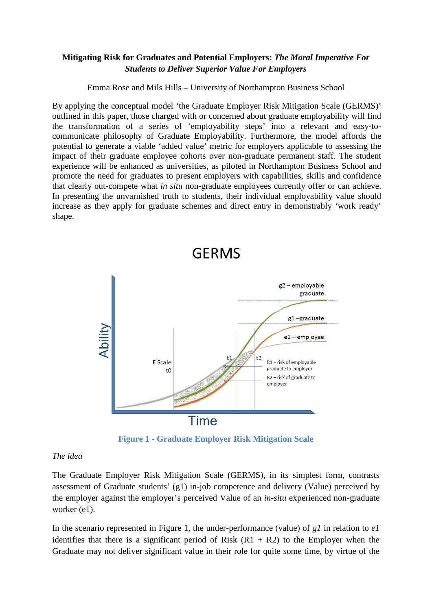# **Mitigating Risk for Graduates and Potential Employers:** *The Moral Imperative For Students to Deliver Superior Value For Employers*

Emma Rose and Mils Hills – University of Northampton Business School

By applying the conceptual model 'the Graduate Employer Risk Mitigation Scale (GERMS)' outlined in this paper, those charged with or concerned about graduate employability will find the transformation of a series of 'employability steps' into a relevant and easy-tocommunicate philosophy of Graduate Employability. Furthermore, the model affords the potential to generate a viable 'added value' metric for employers applicable to assessing the impact of their graduate employee cohorts over non-graduate permanent staff. The student experience will be enhanced as universities, as piloted in Northampton Business School and promote the need for graduates to present employers with capabilities, skills and confidence that clearly out-compete what *in situ* non-graduate employees currently offer or can achieve. In presenting the unvarnished truth to students, their individual employability value should increase as they apply for graduate schemes and direct entry in demonstrably 'work ready' shape.



**Figure 1 - Graduate Employer Risk Mitigation Scale**

# *The idea*

The Graduate Employer Risk Mitigation Scale (GERMS), in its simplest form, contrasts assessment of Graduate students' (g1) in-job competence and delivery (Value) perceived by the employer against the employer's perceived Value of an *in-situ* experienced non-graduate worker (e1).

In the scenario represented in Figure 1, the under-performance (value) of *g1* in relation to *e1*  identifies that there is a significant period of Risk  $(R1 + R2)$  to the Employer when the Graduate may not deliver significant value in their role for quite some time, by virtue of the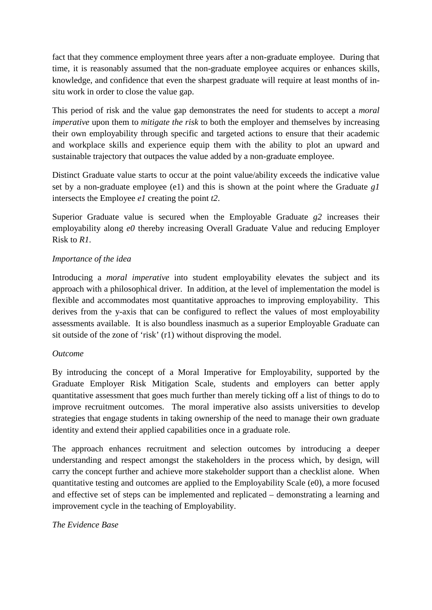fact that they commence employment three years after a non-graduate employee. During that time, it is reasonably assumed that the non-graduate employee acquires or enhances skills, knowledge, and confidence that even the sharpest graduate will require at least months of insitu work in order to close the value gap.

This period of risk and the value gap demonstrates the need for students to accept a *moral imperative* upon them to *mitigate the risk* to both the employer and themselves by increasing their own employability through specific and targeted actions to ensure that their academic and workplace skills and experience equip them with the ability to plot an upward and sustainable trajectory that outpaces the value added by a non-graduate employee.

Distinct Graduate value starts to occur at the point value/ability exceeds the indicative value set by a non-graduate employee (e1) and this is shown at the point where the Graduate *g1* intersects the Employee *e1* creating the point *t2*.

Superior Graduate value is secured when the Employable Graduate *g2* increases their employability along *e0* thereby increasing Overall Graduate Value and reducing Employer Risk to *R1*.

# *Importance of the idea*

Introducing a *moral imperative* into student employability elevates the subject and its approach with a philosophical driver. In addition, at the level of implementation the model is flexible and accommodates most quantitative approaches to improving employability. This derives from the y-axis that can be configured to reflect the values of most employability assessments available. It is also boundless inasmuch as a superior Employable Graduate can sit outside of the zone of 'risk' (r1) without disproving the model.

# *Outcome*

By introducing the concept of a Moral Imperative for Employability, supported by the Graduate Employer Risk Mitigation Scale, students and employers can better apply quantitative assessment that goes much further than merely ticking off a list of things to do to improve recruitment outcomes. The moral imperative also assists universities to develop strategies that engage students in taking ownership of the need to manage their own graduate identity and extend their applied capabilities once in a graduate role.

The approach enhances recruitment and selection outcomes by introducing a deeper understanding and respect amongst the stakeholders in the process which, by design, will carry the concept further and achieve more stakeholder support than a checklist alone. When quantitative testing and outcomes are applied to the Employability Scale (e0), a more focused and effective set of steps can be implemented and replicated – demonstrating a learning and improvement cycle in the teaching of Employability.

# *The Evidence Base*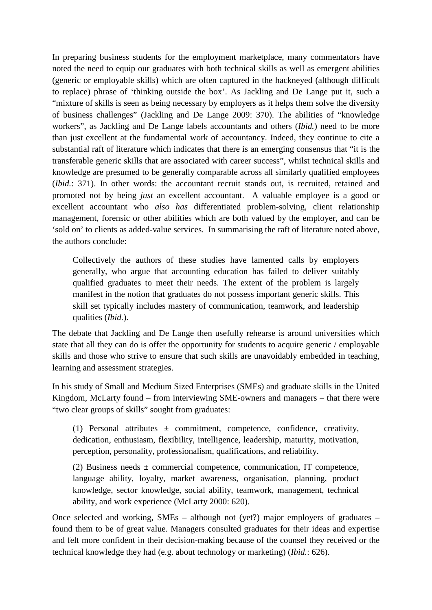In preparing business students for the employment marketplace, many commentators have noted the need to equip our graduates with both technical skills as well as emergent abilities (generic or employable skills) which are often captured in the hackneyed (although difficult to replace) phrase of 'thinking outside the box'. As Jackling and De Lange put it, such a "mixture of skills is seen as being necessary by employers as it helps them solve the diversity of business challenges" (Jackling and De Lange 2009: 370). The abilities of "knowledge workers", as Jackling and De Lange labels accountants and others (*Ibid.*) need to be more than just excellent at the fundamental work of accountancy. Indeed, they continue to cite a substantial raft of literature which indicates that there is an emerging consensus that "it is the transferable generic skills that are associated with career success", whilst technical skills and knowledge are presumed to be generally comparable across all similarly qualified employees (*Ibid.*: 371). In other words: the accountant recruit stands out, is recruited, retained and promoted not by being *just* an excellent accountant. A valuable employee is a good or excellent accountant who *also has* differentiated problem-solving, client relationship management, forensic or other abilities which are both valued by the employer, and can be 'sold on' to clients as added-value services. In summarising the raft of literature noted above, the authors conclude:

Collectively the authors of these studies have lamented calls by employers generally, who argue that accounting education has failed to deliver suitably qualified graduates to meet their needs. The extent of the problem is largely manifest in the notion that graduates do not possess important generic skills. This skill set typically includes mastery of communication, teamwork, and leadership qualities (*Ibid.*).

The debate that Jackling and De Lange then usefully rehearse is around universities which state that all they can do is offer the opportunity for students to acquire generic / employable skills and those who strive to ensure that such skills are unavoidably embedded in teaching, learning and assessment strategies.

In his study of Small and Medium Sized Enterprises (SMEs) and graduate skills in the United Kingdom, McLarty found – from interviewing SME-owners and managers – that there were "two clear groups of skills" sought from graduates:

(1) Personal attributes  $\pm$  commitment, competence, confidence, creativity, dedication, enthusiasm, flexibility, intelligence, leadership, maturity, motivation, perception, personality, professionalism, qualifications, and reliability.

(2) Business needs  $\pm$  commercial competence, communication, IT competence, language ability, loyalty, market awareness, organisation, planning, product knowledge, sector knowledge, social ability, teamwork, management, technical ability, and work experience (McLarty 2000: 620).

Once selected and working, SMEs – although not (yet?) major employers of graduates – found them to be of great value. Managers consulted graduates for their ideas and expertise and felt more confident in their decision-making because of the counsel they received or the technical knowledge they had (e.g. about technology or marketing) (*Ibid.*: 626).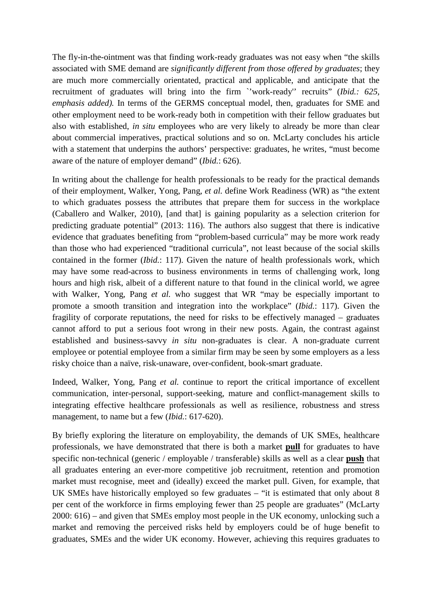The fly-in-the-ointment was that finding work-ready graduates was not easy when "the skills associated with SME demand are *significantly different from those offered by graduates*; they are much more commercially orientated, practical and applicable, and anticipate that the recruitment of graduates will bring into the firm `'work-ready'' recruits" (*Ibid.: 625, emphasis added).* In terms of the GERMS conceptual model, then, graduates for SME and other employment need to be work-ready both in competition with their fellow graduates but also with established, *in situ* employees who are very likely to already be more than clear about commercial imperatives, practical solutions and so on. McLarty concludes his article with a statement that underpins the authors' perspective: graduates, he writes, "must become aware of the nature of employer demand" (*Ibid.*: 626).

In writing about the challenge for health professionals to be ready for the practical demands of their employment, Walker, Yong, Pang, *et al.* define Work Readiness (WR) as "the extent to which graduates possess the attributes that prepare them for success in the workplace (Caballero and Walker, 2010), [and that] is gaining popularity as a selection criterion for predicting graduate potential" (2013: 116). The authors also suggest that there is indicative evidence that graduates benefiting from "problem-based curricula" may be more work ready than those who had experienced "traditional curricula", not least because of the social skills contained in the former (*Ibid.*: 117). Given the nature of health professionals work, which may have some read-across to business environments in terms of challenging work, long hours and high risk, albeit of a different nature to that found in the clinical world, we agree with Walker, Yong, Pang *et al.* who suggest that WR "may be especially important to promote a smooth transition and integration into the workplace" (*Ibid.*: 117). Given the fragility of corporate reputations, the need for risks to be effectively managed – graduates cannot afford to put a serious foot wrong in their new posts. Again, the contrast against established and business-savvy *in situ* non-graduates is clear. A non-graduate current employee or potential employee from a similar firm may be seen by some employers as a less risky choice than a naïve, risk-unaware, over-confident, book-smart graduate.

Indeed, Walker, Yong, Pang *et al.* continue to report the critical importance of excellent communication, inter-personal, support-seeking, mature and conflict-management skills to integrating effective healthcare professionals as well as resilience, robustness and stress management, to name but a few (*Ibid.*: 617-620).

By briefly exploring the literature on employability, the demands of UK SMEs, healthcare professionals, we have demonstrated that there is both a market **pull** for graduates to have specific non-technical (generic / employable / transferable) skills as well as a clear **push** that all graduates entering an ever-more competitive job recruitment, retention and promotion market must recognise, meet and (ideally) exceed the market pull. Given, for example, that UK SMEs have historically employed so few graduates – "it is estimated that only about 8 per cent of the workforce in firms employing fewer than 25 people are graduates" (McLarty 2000: 616) – and given that SMEs employ most people in the UK economy, unlocking such a market and removing the perceived risks held by employers could be of huge benefit to graduates, SMEs and the wider UK economy. However, achieving this requires graduates to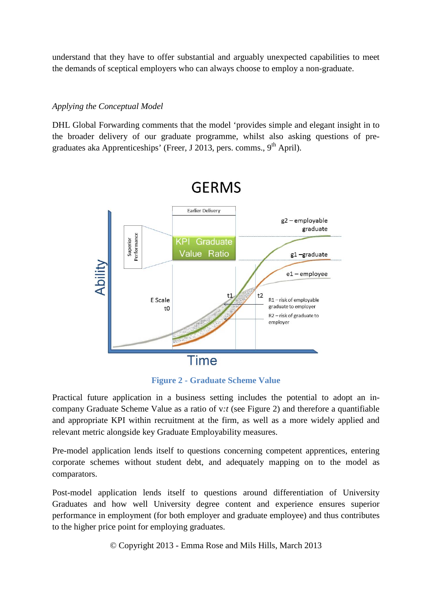understand that they have to offer substantial and arguably unexpected capabilities to meet the demands of sceptical employers who can always choose to employ a non-graduate.

### *Applying the Conceptual Model*

DHL Global Forwarding comments that the model 'provides simple and elegant insight in to the broader delivery of our graduate programme, whilst also asking questions of pregraduates aka Apprenticeships' (Freer, J 2013, pers. comms.,  $9<sup>th</sup>$  April).



**Figure 2 - Graduate Scheme Value**

Practical future application in a business setting includes the potential to adopt an incompany Graduate Scheme Value as a ratio of v*:t* (see Figure 2) and therefore a quantifiable and appropriate KPI within recruitment at the firm, as well as a more widely applied and relevant metric alongside key Graduate Employability measures.

Pre-model application lends itself to questions concerning competent apprentices, entering corporate schemes without student debt, and adequately mapping on to the model as comparators.

Post-model application lends itself to questions around differentiation of University Graduates and how well University degree content and experience ensures superior performance in employment (for both employer and graduate employee) and thus contributes to the higher price point for employing graduates.

© Copyright 2013 - Emma Rose and Mils Hills, March 2013